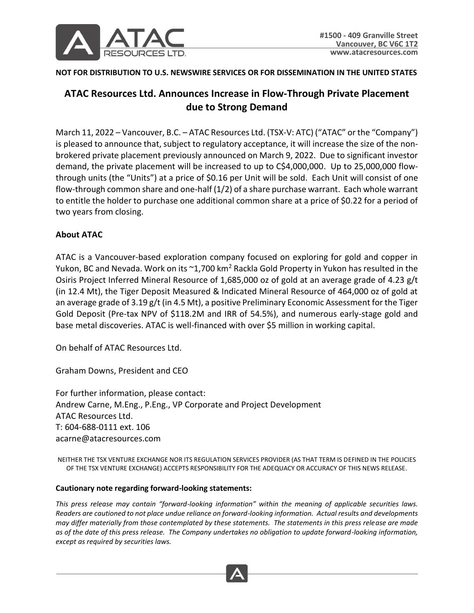

## **NOT FOR DISTRIBUTION TO U.S. NEWSWIRE SERVICES OR FOR DISSEMINATION IN THE UNITED STATES**

## **ATAC Resources Ltd. Announces Increase in Flow-Through Private Placement due to Strong Demand**

March 11, 2022 – Vancouver, B.C. – ATAC Resources Ltd. (TSX-V: ATC) ("ATAC" or the "Company") is pleased to announce that, subject to regulatory acceptance, it will increase the size of the nonbrokered private placement previously announced on March 9, 2022. Due to significant investor demand, the private placement will be increased to up to C\$4,000,000. Up to 25,000,000 flowthrough units (the "Units") at a price of \$0.16 per Unit will be sold. Each Unit will consist of one flow-through common share and one-half (1/2) of a share purchase warrant. Each whole warrant to entitle the holder to purchase one additional common share at a price of \$0.22 for a period of two years from closing.

## **About ATAC**

ATAC is a Vancouver-based exploration company focused on exploring for gold and copper in Yukon, BC and Nevada. Work on its ~1,700 km<sup>2</sup> Rackla Gold Property in Yukon has resulted in the Osiris Project Inferred Mineral Resource of 1,685,000 oz of gold at an average grade of 4.23 g/t (in 12.4 Mt), the Tiger Deposit Measured & Indicated Mineral Resource of 464,000 oz of gold at an average grade of 3.19 g/t (in 4.5 Mt), a positive Preliminary Economic Assessment for the Tiger Gold Deposit (Pre-tax NPV of \$118.2M and IRR of 54.5%), and numerous early-stage gold and base metal discoveries. ATAC is well-financed with over \$5 million in working capital.

On behalf of ATAC Resources Ltd.

Graham Downs, President and CEO

For further information, please contact: Andrew Carne, M.Eng., P.Eng., VP Corporate and Project Development ATAC Resources Ltd. T: 604-688-0111 ext. 106 acarne@atacresources.com

NEITHER THE TSX VENTURE EXCHANGE NOR ITS REGULATION SERVICES PROVIDER (AS THAT TERM IS DEFINED IN THE POLICIES OF THE TSX VENTURE EXCHANGE) ACCEPTS RESPONSIBILITY FOR THE ADEQUACY OR ACCURACY OF THIS NEWS RELEASE.

## **Cautionary note regarding forward-looking statements:**

*This press release may contain "forward-looking information" within the meaning of applicable securities laws. Readers are cautioned to not place undue reliance on forward-looking information. Actual results and developments may differ materially from those contemplated by these statements. The statements in this press release are made as of the date of this press release. The Company undertakes no obligation to update forward-looking information, except as required by securities laws.*